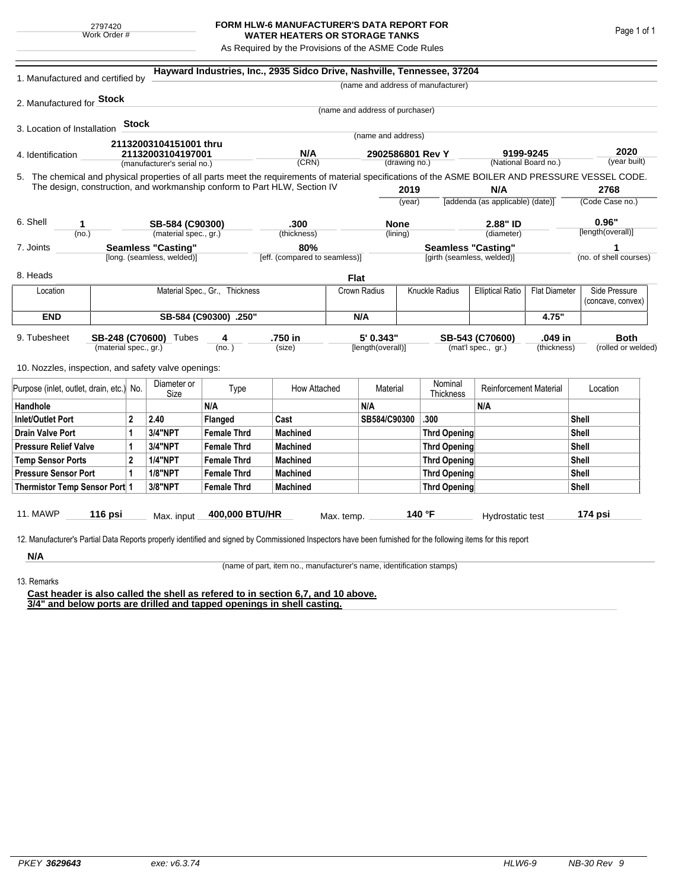## **FORM HLW-6 MANUFACTURER'S DATA REPORT FOR WATER HEATERS OR STORAGE TANKS**

As Required by the Provisions of the ASME Code Rules

| 1. Manufactured and certified by                                                                                                                              |                                          |              |                             |                                | Hayward Industries, Inc., 2935 Sidco Drive, Nashville, Tennessee, 37204   |             |                                   |                     |                                                         |                                                 |                                   |                    |                        |
|---------------------------------------------------------------------------------------------------------------------------------------------------------------|------------------------------------------|--------------|-----------------------------|--------------------------------|---------------------------------------------------------------------------|-------------|-----------------------------------|---------------------|---------------------------------------------------------|-------------------------------------------------|-----------------------------------|--------------------|------------------------|
|                                                                                                                                                               |                                          |              |                             |                                |                                                                           |             |                                   |                     | (name and address of manufacturer)                      |                                                 |                                   |                    |                        |
| 2. Manufactured for <b>Stock</b>                                                                                                                              |                                          |              |                             |                                |                                                                           |             |                                   |                     |                                                         |                                                 |                                   |                    |                        |
|                                                                                                                                                               |                                          |              |                             |                                |                                                                           |             | (name and address of purchaser)   |                     |                                                         |                                                 |                                   |                    |                        |
| 3. Location of Installation                                                                                                                                   |                                          | <b>Stock</b> |                             |                                |                                                                           |             | (name and address)                |                     |                                                         |                                                 |                                   |                    |                        |
|                                                                                                                                                               |                                          |              | 21132003104151001 thru      |                                |                                                                           |             |                                   |                     |                                                         |                                                 |                                   |                    |                        |
| 4. Identification                                                                                                                                             |                                          |              | 21132003104197001           |                                | N/A<br>(CRN)                                                              |             | 2902586801 Rev Y<br>(drawing no.) |                     |                                                         |                                                 | 9199-9245<br>(National Board no.) |                    | 2020<br>(year built)   |
|                                                                                                                                                               |                                          |              | (manufacturer's serial no.) |                                |                                                                           |             |                                   |                     |                                                         |                                                 |                                   |                    |                        |
| 5. The chemical and physical properties of all parts meet the requirements of material specifications of the ASME BOILER AND PRESSURE VESSEL CODE.            |                                          |              |                             |                                | The design, construction, and workmanship conform to Part HLW, Section IV |             |                                   | 2019                |                                                         | N/A                                             |                                   |                    | 2768                   |
|                                                                                                                                                               |                                          |              |                             |                                |                                                                           |             | (year)                            |                     | [addenda (as applicable) (date)]                        |                                                 |                                   | (Code Case no.)    |                        |
|                                                                                                                                                               |                                          |              |                             |                                |                                                                           |             |                                   |                     |                                                         |                                                 |                                   |                    |                        |
| 6. Shell<br>1                                                                                                                                                 |                                          |              | SB-584 (C90300)             |                                | .300                                                                      |             | <b>None</b>                       |                     |                                                         | 2.88" ID                                        |                                   | 0.96"              |                        |
| (no.)                                                                                                                                                         |                                          |              | (material spec., gr.)       |                                | (thickness)                                                               |             |                                   | (lining)            |                                                         | (diameter)                                      |                                   |                    | [length(overall)]      |
| 7. Joints                                                                                                                                                     | <b>Seamless "Casting"</b>                |              |                             |                                | 80%                                                                       |             |                                   |                     | <b>Seamless "Casting"</b><br>[girth (seamless, welded)] |                                                 |                                   |                    |                        |
|                                                                                                                                                               |                                          |              | [long. (seamless, welded)]  |                                | [eff. (compared to seamless)]                                             |             |                                   |                     |                                                         |                                                 |                                   |                    | (no. of shell courses) |
| 8. Heads                                                                                                                                                      |                                          |              |                             |                                |                                                                           | <b>Flat</b> |                                   |                     |                                                         |                                                 |                                   |                    |                        |
| Location                                                                                                                                                      |                                          |              |                             | Material Spec., Gr., Thickness |                                                                           |             | Crown Radius                      | Knuckle Radius      |                                                         | <b>Elliptical Ratio</b><br><b>Flat Diameter</b> |                                   |                    | Side Pressure          |
|                                                                                                                                                               |                                          |              |                             |                                |                                                                           |             |                                   |                     |                                                         |                                                 |                                   |                    | (concave, convex)      |
| <b>END</b>                                                                                                                                                    | SB-584 (C90300) .250"                    |              |                             |                                |                                                                           |             | N/A                               |                     |                                                         |                                                 | 4.75"                             |                    |                        |
| 9. Tubesheet<br>SB-248 (C70600) Tubes<br>(material spec., gr.)                                                                                                |                                          |              |                             | 4                              | .750 in                                                                   |             | 5' 0.343"                         |                     | .049 in<br>SB-543 (C70600)                              |                                                 |                                   | <b>Both</b>        |                        |
|                                                                                                                                                               |                                          |              | (no. )                      |                                | (size)                                                                    |             | [length(overall)]                 |                     | (mat'l spec., gr.)<br>(thickness)                       |                                                 |                                   | (rolled or welded) |                        |
| 10. Nozzles, inspection, and safety valve openings:                                                                                                           |                                          |              |                             |                                |                                                                           |             |                                   |                     |                                                         |                                                 |                                   |                    |                        |
|                                                                                                                                                               |                                          |              |                             |                                |                                                                           |             |                                   |                     |                                                         |                                                 |                                   |                    |                        |
|                                                                                                                                                               | Purpose (inlet, outlet, drain, etc.) No. |              | Diameter or<br>Size         | Type                           | How Attached                                                              | Material    |                                   |                     | Nominal<br>Thickness                                    | <b>Reinforcement Material</b>                   |                                   | Location           |                        |
| Handhole                                                                                                                                                      |                                          |              |                             | N/A                            |                                                                           |             | N/A                               |                     |                                                         | N/A                                             |                                   |                    |                        |
| <b>Inlet/Outlet Port</b><br>$\mathbf{2}$                                                                                                                      |                                          |              | 2.40                        | Flanged                        | Cast                                                                      |             | SB584/C90300                      |                     | .300                                                    |                                                 |                                   | Shell              |                        |
| <b>Drain Valve Port</b><br>1                                                                                                                                  |                                          | 3/4"NPT      | <b>Female Thrd</b>          | <b>Machined</b>                |                                                                           |             |                                   | <b>Thrd Opening</b> |                                                         |                                                 | Shell                             |                    |                        |
| <b>Pressure Relief Valve</b><br>1                                                                                                                             |                                          |              | 3/4"NPT                     | <b>Female Thrd</b>             | <b>Machined</b>                                                           |             |                                   | <b>Thrd Opening</b> |                                                         |                                                 |                                   | Shell              |                        |
| $\overline{2}$<br><b>Temp Sensor Ports</b>                                                                                                                    |                                          |              | <b>1/4"NPT</b>              | <b>Female Thrd</b>             | <b>Machined</b>                                                           |             |                                   |                     | <b>Thrd Opening</b>                                     |                                                 |                                   | Shell              |                        |
| <b>Pressure Sensor Port</b><br>1                                                                                                                              |                                          |              | <b>1/8"NPT</b>              | <b>Female Thrd</b>             | <b>Machined</b>                                                           |             |                                   |                     | Thrd Opening                                            |                                                 |                                   | Shell              |                        |
| Thermistor Temp Sensor Port 1                                                                                                                                 |                                          |              | 3/8"NPT                     | <b>Female Thrd</b>             | <b>Machined</b>                                                           |             |                                   |                     | Thrd Opening                                            |                                                 |                                   | Shell              |                        |
|                                                                                                                                                               |                                          |              |                             |                                |                                                                           |             |                                   |                     |                                                         |                                                 |                                   |                    |                        |
| 11. MAWP                                                                                                                                                      | 116 psi                                  |              | Max. input                  | 400,000 BTU/HR                 |                                                                           | Max. temp.  |                                   |                     | 140 °F                                                  | Hydrostatic test                                |                                   |                    | 174 psi                |
|                                                                                                                                                               |                                          |              |                             |                                |                                                                           |             |                                   |                     |                                                         |                                                 |                                   |                    |                        |
| 12. Manufacturer's Partial Data Reports properly identified and signed by Commissioned Inspectors have been furnished for the following items for this report |                                          |              |                             |                                |                                                                           |             |                                   |                     |                                                         |                                                 |                                   |                    |                        |
| N/A                                                                                                                                                           |                                          |              |                             |                                |                                                                           |             |                                   |                     |                                                         |                                                 |                                   |                    |                        |

(name of part, item no., manufacturer's name, identification stamps)

13. Remarks

**Cast header is also called the shell as refered to in section 6,7, and 10 above. 3/4" and below ports are drilled and tapped openings in shell casting.**